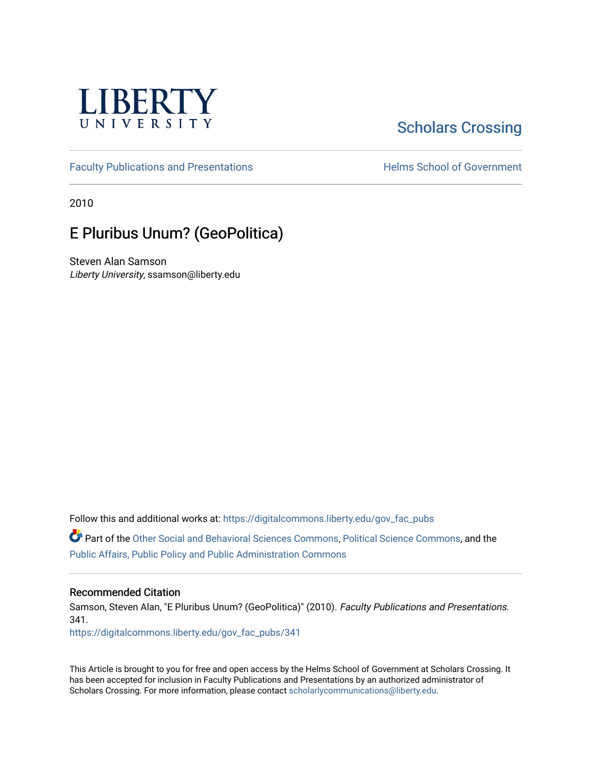

# [Scholars Crossing](https://digitalcommons.liberty.edu/)

[Faculty Publications and Presentations](https://digitalcommons.liberty.edu/gov_fac_pubs) **Exercise School of Government** 

2010

## E Pluribus Unum? (GeoPolitica)

Steven Alan Samson Liberty University, ssamson@liberty.edu

Follow this and additional works at: [https://digitalcommons.liberty.edu/gov\\_fac\\_pubs](https://digitalcommons.liberty.edu/gov_fac_pubs?utm_source=digitalcommons.liberty.edu%2Fgov_fac_pubs%2F341&utm_medium=PDF&utm_campaign=PDFCoverPages)

Part of the [Other Social and Behavioral Sciences Commons](http://network.bepress.com/hgg/discipline/437?utm_source=digitalcommons.liberty.edu%2Fgov_fac_pubs%2F341&utm_medium=PDF&utm_campaign=PDFCoverPages), [Political Science Commons](http://network.bepress.com/hgg/discipline/386?utm_source=digitalcommons.liberty.edu%2Fgov_fac_pubs%2F341&utm_medium=PDF&utm_campaign=PDFCoverPages), and the [Public Affairs, Public Policy and Public Administration Commons](http://network.bepress.com/hgg/discipline/393?utm_source=digitalcommons.liberty.edu%2Fgov_fac_pubs%2F341&utm_medium=PDF&utm_campaign=PDFCoverPages)

### Recommended Citation

Samson, Steven Alan, "E Pluribus Unum? (GeoPolitica)" (2010). Faculty Publications and Presentations. 341.

[https://digitalcommons.liberty.edu/gov\\_fac\\_pubs/341](https://digitalcommons.liberty.edu/gov_fac_pubs/341?utm_source=digitalcommons.liberty.edu%2Fgov_fac_pubs%2F341&utm_medium=PDF&utm_campaign=PDFCoverPages)

This Article is brought to you for free and open access by the Helms School of Government at Scholars Crossing. It has been accepted for inclusion in Faculty Publications and Presentations by an authorized administrator of Scholars Crossing. For more information, please contact [scholarlycommunications@liberty.edu.](mailto:scholarlycommunications@liberty.edu)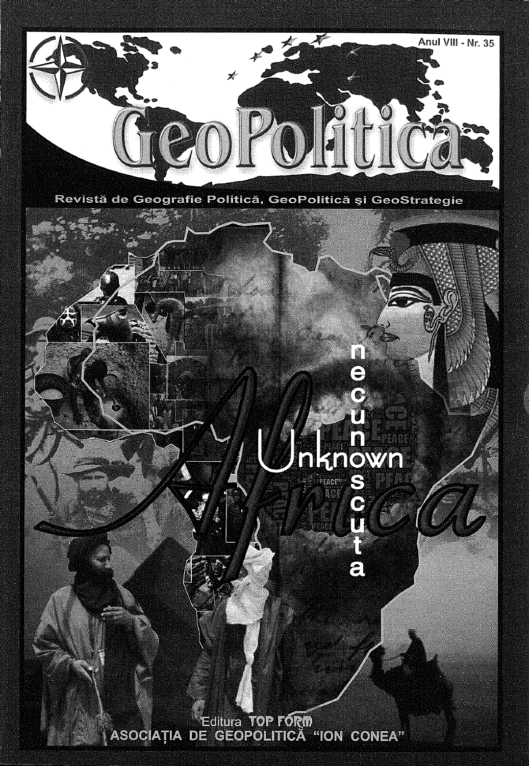

Revistă de Geografie Politică, GeoPolitică și GeoStrategie

**FRONZE** .<br>PEACEY

 $\bullet$ 

 $\bullet$ 

 $\epsilon$ 

Editura TOP FORM<br>ASOCIAȚIA DE GEOPOLITICĂ "ION CONEA"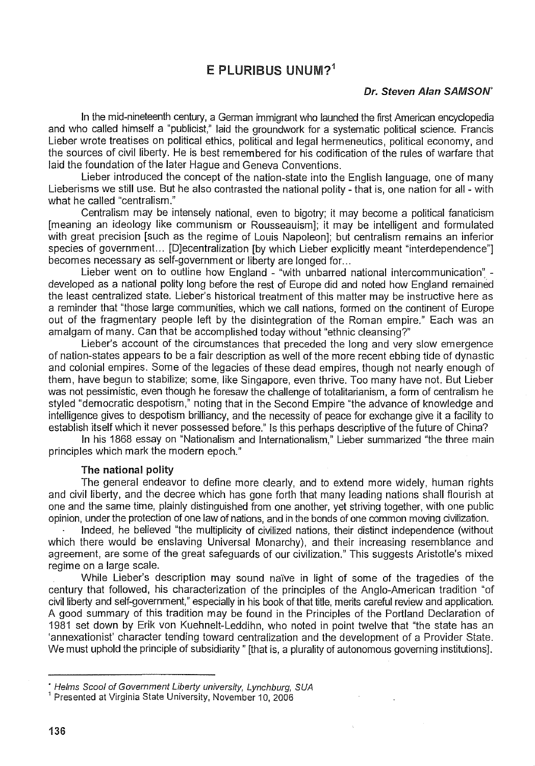## $F$  PLURIBUS UNUM?<sup>1</sup>

#### Dr. Steven Alan SAMSON'

In the mid-nineteenth century, a German immigrant who launched the first American encyclopedia and who called himself a "publicist," laid the groundwork for a systematic political science. Francis Lieber wrote treatises on political ethics, political and legal hermeneutics, political economy, and the sources of civil liberty. He is best remembered for his codification of the rules of warfare that laid the foundation of the later Hague and Geneva Conventions.

Lieber introduced the concept of the nation-state into the English language, one of many Lieberisms we still use. But he also contrasted the national polity - that is, one nation for all - with what he called "centralism."

Centralism may be intensely national, even to bigotry; it may become a political fanaticism [meaning an ideology like communism or Rousseauism]; it may be intelligent and formulated with great precision [such as the regime of Louis Napoleon]; but centralism remains an inferior species of government... [D]ecentralization [by which Lieber explicitly meant "interdependence"] becomes necessary as self-government or liberty are longed for. ..

Lieber went on to outline how England - "with unbarred national intercommunication" developed as a national polity long before the rest of Europe did and noted how England remained the least centralized state. Lieber's historical treatment of this matter may be instructive here as a reminder that "those large communities, which we call nations, formed on the continent of Europe out of the fragmentary people left by the disintegration of the Roman empire." Each was an amalgam of many. Can that be accomplished today without "ethnic cleansing?"

Lieber's account of the circumstances that preceded the long and very slow emergence of nation-states appears to be a fair description as well of the more recent ebbing tide of dynastic and colonial empires. Some of the legacies of these dead empires, though not nearly enough of them, have begun to stabilize; some, like Singapore, even thrive. Too many have not. But Lieber was not pessimistic, even though he foresaw the challenge of totalitarianism, a form of centralism he styled "democratic despotism," noting that in the Second Empire "the advance of knowledge and intelligence gives to despotism brilliancy, and the necessity of peace for exchange give it a facility to establish itself which it never possessed before." Is this perhaps descriptive of the future of China?

In his 1868 essay on "Nationalism and Internationalism," Lieber summarized "the three main principles which mark the modern epoch."

#### The national polity

The general endeavor to define more clearly, and to extend more widely, human rights and civil liberty, and the decree which has gone forth that many leading nations shall flourish at one and the same time, plainly distinguished from one another, yet striving together, with one public opinion, under the protection of one law of nations, and in the bonds of one common moving civilization.

Indeed, he believed "the multiplicity of civilized nations, their distinct independence (without which there would be enslaving Universal Monarchy), and their increasing resemblance and agreement, are some of the great safeguards of our civilization." This suggests Aristotle's mixed regime on a large scale.

While Lieber's description may sound naïve in light of some of the tragedies of the century that followed, his characterization of the principles of the Anglo-American tradition "of civil liberty and self-government," especially in his book of that title, merits careful review and application. A good summary of this tradition may be found in the Principles of the Portland Declaration of 1981 set down by Erik von Kuehnelt-Leddihn, who noted in point twelve that "the state has an 'annexationist' character tending toward centralization and the development of a Provider State. We must uphold the principle of subsidiarity" [that is, a plurality of autonomous governing institutions].

<sup>•</sup> Helms Scool of Government Uberty university, Lynchburg, SUA

<sup>&</sup>lt;sup>1</sup> Presented at Virginia State University, November 10, 2006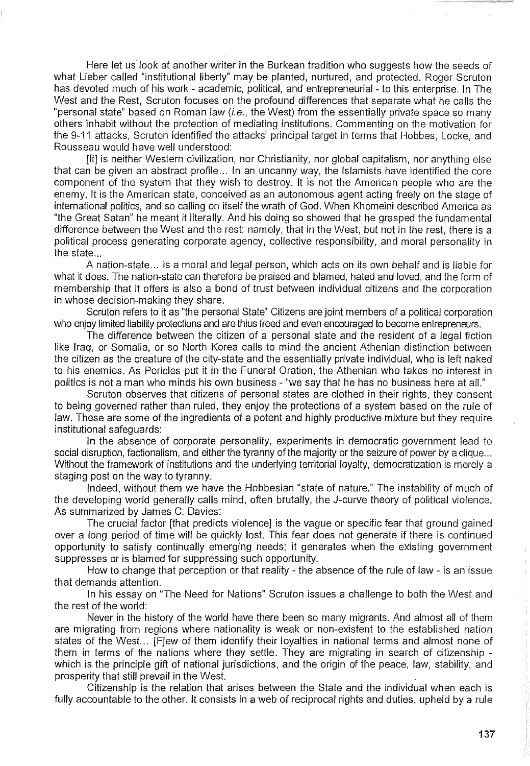Here let us look at another writer in the Burkean tradition who suggests how the seeds of what Lieber called "institutional liberty" may be planted, nurtured, and protected. Roger Scruton has devoted much of his work - academic, political, and entrepreneurial- to this enterprise. In The West and the Rest, Scruton focuses on the profound differences that separate what he calls the "personal state" based on Roman law  $(i.e.,$  the West) from the essentially private space so many others inhabit without the protection of mediating institutions. Commenting on the motivation for the 9-11 attacks, Scruton identified the attacks' principal target in terms that Hobbes, Locke, and Rousseau would have well understood:

[It] is neither Western civilization, nor Christianity, nor global capitalism, nor anything else that can be given an abstract profile ... In an uncanny way, the Islamists have identified the core component of the system that they wish to destroy. It is not the American people who are the enemy. It is the American state, conceived as an autonomous agent acting freely on the stage of international politics, and so calling on itself the wrath of God. When Khomeini described America as "the Great Satan" he meant it literally. And his doing so showed that he grasped the fundamental difference between the West and the rest: namely, that in the West, but not in the rest, there is a political process generating corporate agency, collective responsibility, and moral personality in the state.

A nation-state ... is a moral and legal person, which acts on its own behalf and is liable for what it does. The nation-state can therefore be praised and blamed, hated and loved, and the form of membership that it offers is also a bond of trust between individual citizens and the corporation in whose decision-making they share.

Scruton refers to it as "the personal State" Citizens are joint members of a political corporation who enjoy limited liability protections and are thius freed and even encouraged to become entrepreneurs.

The difference between the citizen of a personal state and the resident of a legal fiction like Iraq, or Somalia, or so North Korea calls to mind the ancient Athenian distinction between the citizen as the creature of the city-state and the essentially private individual, who is left naked to his enemies. As Pericles put it in the Funeral Oration, the Athenian who takes no interest in politics is not a man who minds his own business - "we say that he has no business here at all."

Scruton observes that citizens of personal states are clothed in their rights, they consent to being governed rather than ruled, they enjoy the protections of a system based on the rule of law. These are some of the ingredients of a potent and highly productive mixture but they require institutional safeguards:

In the absence of corporate personality, experiments in democratic government lead to social disruption, factionalism, and either the tyranny of the majority or the seizure of power by a clique... Without the framework of institutions and the underlying territorial loyalty, democratization is merely a staging post on the way to tyranny.

Indeed, without them we have the Hobbesian "state of nature." The instability of much of the developing world generally calls mind, often brutally, the J-curve theory of political violence. As summarized by James C. Davies:

The crucial factor [that predicts violence] is the vague or specific fear that ground gained over a long period of time will be quickly lost. This fear does not generate if there is continued opportunity to satisfy continually emerging needs; it generates when the existing government suppresses or is blamed for suppressing such opportunity.

How to change that perception or that reality - the absence of the rule of law - is an issue that demands attention.

In his essay on "The Need for Nations" Scruton issues a challenge to both the West and the rest of the world:

Never in the history of the world have there been so many migrants. And almost all of them are migrating from regions where nationality is weak or non-existent to the established nation states of the West... [F]ew of them identify their loyalties in national terms and almost none of them in terms of the nations where they settle. They are migrating in search of citizenship which is the principle gift of national jurisdictions, and the origin of the peace, law, stability, and prosperity that still prevail in the West.

Citizenship is the relation that arises between the State and the individual when each is fully accountable to the other. It consists in a web of reciprocal rights and duties, upheld by a rule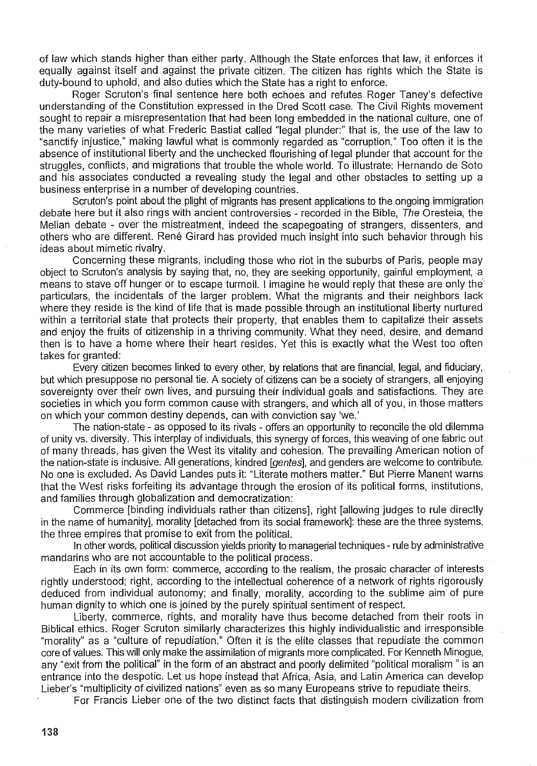of law which stands higher than either party. Although the State enforces that law, it enforces it equally against itself and against the private citizen. The citizen has rights which the State is duty-bound to uphold, and also duties which the State has a right to enforce.

Roger Scruton's final sentence here both echoes and refutes Roger Taney's defective understanding of the Constitution expressed in the Dred Scott case. The Civil Rights movement sought to repair a misrepresentation that had been long embedded in the national culture, one of the many varieties of what Frederic Bastiat called "legal plunder:" that is, the use of the law to "sanctify injustice," making lawful what is commonly regarded as "corruption." Too often it is the absence of institutional liberty and the unchecked flourishing of legal plunder that account for the struggles, conflicts, and migrations that trouble the whole world. To illustrate: Hernando de Soto and his associates conducted a revealing study the legal and other obstacles to setting up a business enterprise in a number of developing countries.

Scruton's point about the plight of migrants has present applications to the ongoing immigration debate here but it also rings with ancient controversies - recorded in the Bible, The Oresteia, the Melian debate - over the mistreatment, indeed the scapegoating of strangers, dissenters, and others who are different. René Girard has provided much insight into such behavior through his ideas about mimetic rivalry.

Concerning these migrants, including those who riot in the suburbs of Paris, people may object to Scruton's analysis by saying that, no, they are seeking opportunity, gainful employment, a means to stave off hunger or to escape turmoil. I imagine he would reply that these are only the' particulars, the incidentals of the larger problem. What the migrants and their neighbors lack where they reside is the kind of life that is made possible through an institutional liberty nurtured within a territorial state that protects their property, that enables them to capitalize their assets and enjoy the fruits of citizenship in a thriving community. What they need, desire, and demand then is to have a home where their heart resides. Yet this is exactly what the West too often takes for granted:

Every citizen becomes linked to every other, by relations that are financial, legal, and fiduciary, but which presuppose no personal tie. A society of citizens can be a society of strangers, all enjoying sovereignty over their own lives, and pursuing their individual goals and satisfactions. They are societies in which you form common cause with strangers, and which all of you, in those matters on which your common destiny depends, can with conviction say 'we.'

The nation-state - as opposed to its rivals - offers an opportunity to reconcile the old dilemma of unity vs. diversity. This interplay of individuals, this synergy of forces, this weaving of one fabric out of many threads, has given the West its vitality and cohesion. The prevailing American notion of the nation-state is inclusive. All generations, kindred [gentes], and genders are welcome to contribute. No one is excluded. As David Landes puts it: "Literate mothers matter." But Pierre Manent warns that the West risks forfeiting its advantage through the erosion of its political forms, institutions, and families through globalization and democratization:

Commerce [binding individuals rather than citizens], right [allowing judges to rule directly in the name of humanity], morality [detached from its social framework]: these are the three systems, the three empires that promise to exit from the political.

In other words, political discussion yields priority to managerial techniques - rule by administrative mandarins who are not accountable to the political process.

Each in its own form: commerce, according to the realism, the prosaic character of interests rightly understood; right, according to the intellectual coherence of a network of rights rigorously deduced from individual autonomy; and finally, morality, according to the sublime aim of pure human dignity to which one is joined by the purely spiritual sentiment of respect.

Liberty, commerce, rights, and morality have thus become detached from their roots in Biblical ethics. Roger Scruton similarly characterizes this highly individualistic and irresponsible "morality" as a "culture of repudiation." Often it is the elite classes that repudiate the common core of values. This will only make the assimilation of migrants more complicated. For Kenneth Minogue, any "exit from the political" in the form of an abstract and poorly delimited "political moralism" is an entrance into the despotic. Let us hope instead that Africa, Asia, and Latin America can develop Lieber's "multiplicity of civilized nations" even as so many Europeans strive to repudiate theirs.

For Francis Lieber one of the two distinct facts that distinguish modern civilization from